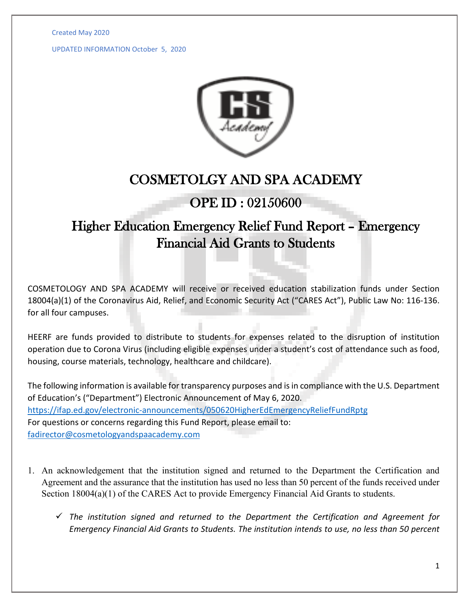Created May 2020

UPDATED INFORMATION October 5, 2020



## COSMETOLGY AND SPA ACADEMY

## OPE ID : 02150600

## Higher Education Emergency Relief Fund Report – Emergency Financial Aid Grants to Students

COSMETOLOGY AND SPA ACADEMY will receive or received education stabilization funds under Section 18004(a)(1) of the Coronavirus Aid, Relief, and Economic Security Act ("CARES Act"), Public Law No: 116-136. for all four campuses.

HEERF are funds provided to distribute to students for expenses related to the disruption of institution operation due to Corona Virus (including eligible expenses under a student's cost of attendance such as food, housing, course materials, technology, healthcare and childcare).

The following information is available for transparency purposes and is in compliance with the U.S. Department of Education's ("Department") Electronic Announcement of May 6, 2020. <https://ifap.ed.gov/electronic-announcements/050620HigherEdEmergencyReliefFundRptg> For questions or concerns regarding this Fund Report, please email to: [fadirector@cosmetologyandspaacademy.com](mailto:fadirector@cosmetologyandspaacademy.com)

- 1. An acknowledgement that the institution signed and returned to the Department the Certification and Agreement and the assurance that the institution has used no less than 50 percent of the funds received under Section 18004(a)(1) of the CARES Act to provide Emergency Financial Aid Grants to students.
	- *The institution signed and returned to the Department the Certification and Agreement for Emergency Financial Aid Grants to Students. The institution intends to use, no less than 50 percent*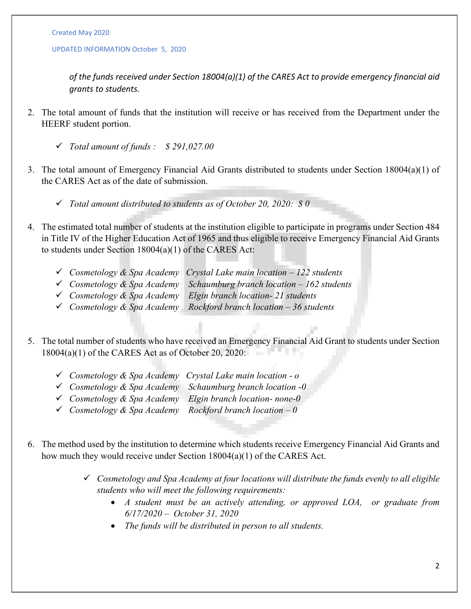## UPDATED INFORMATION October 5, 2020

*of the funds received under Section 18004(a)(1) of the CARES Act to provide emergency financial aid grants to students.*

- 2. The total amount of funds that the institution will receive or has received from the Department under the HEERF student portion.
	- *Total amount of funds : \$ 291,027.00*
- 3. The total amount of Emergency Financial Aid Grants distributed to students under Section 18004(a)(1) of the CARES Act as of the date of submission.
	- *Total amount distributed to students as of October 20, 2020: \$ 0*
- 4. The estimated total number of students at the institution eligible to participate in programs under Section 484 in Title IV of the Higher Education Act of 1965 and thus eligible to receive Emergency Financial Aid Grants to students under Section 18004(a)(1) of the CARES Act:
	- *Cosmetology & Spa Academy Crystal Lake main location – 122 students*
	- *Cosmetology & Spa Academy Schaumburg branch location – 162 students*
	- *Cosmetology & Spa Academy Elgin branch location- 21 students*
	- *Cosmetology & Spa Academy Rockford branch location – 36 students*
- 5. The total number of students who have received an Emergency Financial Aid Grant to students under Section 18004(a)(1) of the CARES Act as of October 20, 2020:
	- *Cosmetology & Spa Academy Crystal Lake main location - o*
	- *Cosmetology & Spa Academy Schaumburg branch location -0*
	- *Cosmetology & Spa Academy Elgin branch location- none-0*
	- *Cosmetology & Spa Academy Rockford branch location – 0*
- 6. The method used by the institution to determine which students receive Emergency Financial Aid Grants and how much they would receive under Section 18004(a)(1) of the CARES Act.
	- *Cosmetology and Spa Academy at four locations will distribute the funds evenly to all eligible students who will meet the following requirements:* 
		- *A student must be an actively attending, or approved LOA, or graduate from 6/17/2020 – October 31, 2020*
		- *The funds will be distributed in person to all students.*